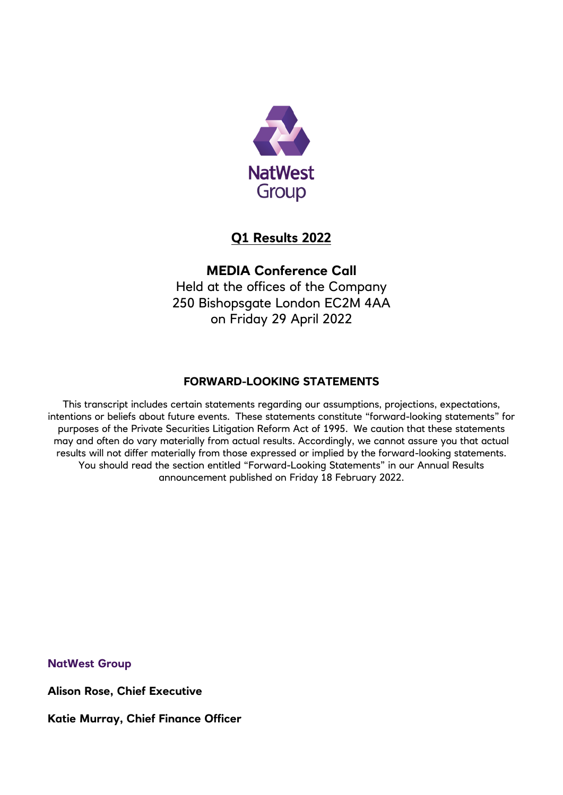

# **Q1 Results 2022**

# **MEDIA Conference Call**

Held at the offices of the Company 250 Bishopsgate London EC2M 4AA on Friday 29 April 2022

## **FORWARD-LOOKING STATEMENTS**

This transcript includes certain statements regarding our assumptions, projections, expectations, intentions or beliefs about future events. These statements constitute "forward-looking statements" for purposes of the Private Securities Litigation Reform Act of 1995. We caution that these statements may and often do vary materially from actual results. Accordingly, we cannot assure you that actual results will not differ materially from those expressed or implied by the forward-looking statements. You should read the section entitled "Forward-Looking Statements" in our Annual Results announcement published on Friday 18 February 2022.

**NatWest Group**

**Alison Rose, Chief Executive** 

**Katie Murray, Chief Finance Officer**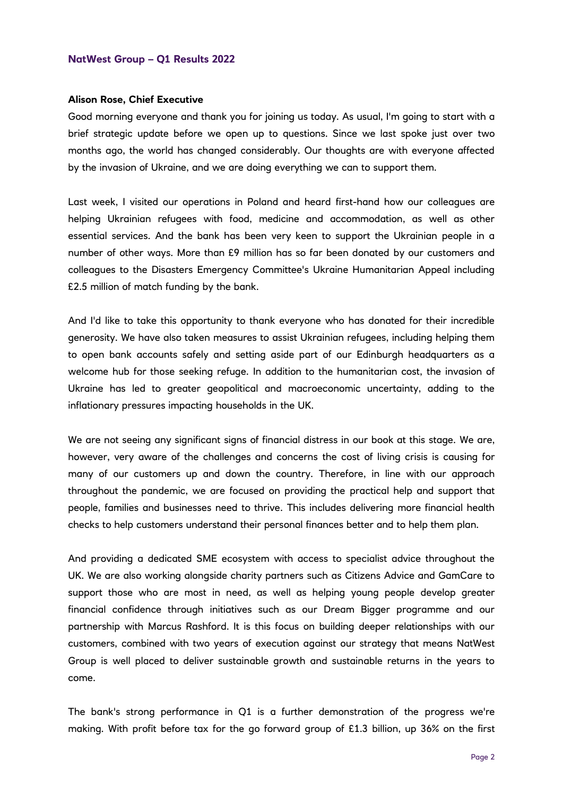#### **Alison Rose, Chief Executive**

Good morning everyone and thank you for joining us today. As usual, I'm going to start with a brief strategic update before we open up to questions. Since we last spoke just over two months ago, the world has changed considerably. Our thoughts are with everyone affected by the invasion of Ukraine, and we are doing everything we can to support them.

Last week, I visited our operations in Poland and heard first-hand how our colleagues are helping Ukrainian refugees with food, medicine and accommodation, as well as other essential services. And the bank has been very keen to support the Ukrainian people in a number of other ways. More than £9 million has so far been donated by our customers and colleagues to the Disasters Emergency Committee's Ukraine Humanitarian Appeal including £2.5 million of match funding by the bank.

And I'd like to take this opportunity to thank everyone who has donated for their incredible generosity. We have also taken measures to assist Ukrainian refugees, including helping them to open bank accounts safely and setting aside part of our Edinburgh headquarters as a welcome hub for those seeking refuge. In addition to the humanitarian cost, the invasion of Ukraine has led to greater geopolitical and macroeconomic uncertainty, adding to the inflationary pressures impacting households in the UK.

We are not seeing any significant signs of financial distress in our book at this stage. We are, however, very aware of the challenges and concerns the cost of living crisis is causing for many of our customers up and down the country. Therefore, in line with our approach throughout the pandemic, we are focused on providing the practical help and support that people, families and businesses need to thrive. This includes delivering more financial health checks to help customers understand their personal finances better and to help them plan.

And providing a dedicated SME ecosystem with access to specialist advice throughout the UK. We are also working alongside charity partners such as Citizens Advice and GamCare to support those who are most in need, as well as helping young people develop greater financial confidence through initiatives such as our Dream Bigger programme and our partnership with Marcus Rashford. It is this focus on building deeper relationships with our customers, combined with two years of execution against our strategy that means NatWest Group is well placed to deliver sustainable growth and sustainable returns in the years to come.

The bank's strong performance in Q1 is a further demonstration of the progress we're making. With profit before tax for the go forward group of £1.3 billion, up 36% on the first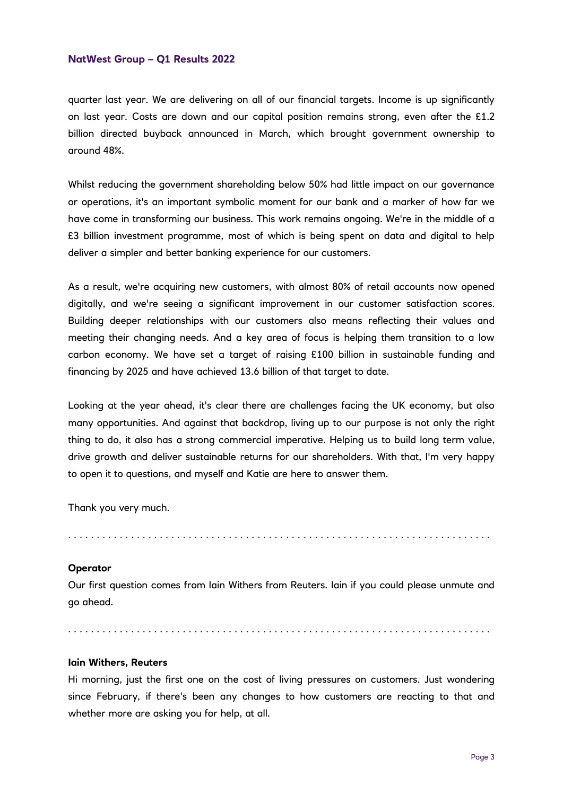quarter last year. We are delivering on all of our financial targets. Income is up significantly on last year. Costs are down and our capital position remains strong, even after the £1.2 billion directed buyback announced in March, which brought government ownership to around 48%.

Whilst reducing the government shareholding below 50% had little impact on our governance or operations, it's an important symbolic moment for our bank and a marker of how far we have come in transforming our business. This work remains ongoing. We're in the middle of a £3 billion investment programme, most of which is being spent on data and digital to help deliver a simpler and better banking experience for our customers.

As a result, we're acquiring new customers, with almost 80% of retail accounts now opened digitally, and we're seeing a significant improvement in our customer satisfaction scores. Building deeper relationships with our customers also means reflecting their values and meeting their changing needs. And a key area of focus is helping them transition to a low carbon economy. We have set a target of raising £100 billion in sustainable funding and financing by 2025 and have achieved 13.6 billion of that target to date.

Looking at the year ahead, it's clear there are challenges facing the UK economy, but also many opportunities. And against that backdrop, living up to our purpose is not only the right thing to do, it also has a strong commercial imperative. Helping us to build long term value, drive growth and deliver sustainable returns for our shareholders. With that, I'm very happy to open it to questions, and myself and Katie are here to answer them.

Thank you very much.

. . . . . . . . . . . . . . . . . . . . . . . . . . . . . . . . . . . . . . . . . . . . . . . . . . . . . . . . . . . . . . . . . . . . . . . . . .

## **Operator**

Our first question comes from Iain Withers from Reuters. Iain if you could please unmute and go ahead.

. . . . . . . . . . . . . . . . . . . . . . . . . . . . . . . . . . . . . . . . . . . . . . . . . . . . . . . . . . . . . . . . . . . . . . . . . .

## **Iain Withers, Reuters**

Hi morning, just the first one on the cost of living pressures on customers. Just wondering since February, if there's been any changes to how customers are reacting to that and whether more are asking you for help, at all.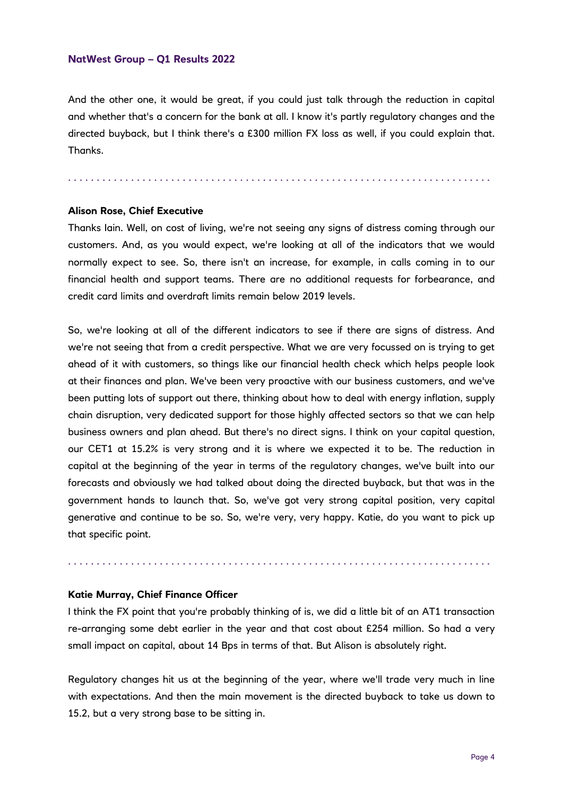And the other one, it would be great, if you could just talk through the reduction in capital and whether that's a concern for the bank at all. I know it's partly regulatory changes and the directed buyback, but I think there's a £300 million FX loss as well, if you could explain that. Thanks.

. . . . . . . . . . . . . . . . . . . . . . . . . . . . . . . . . . . . . . . . . . . . . . . . . . . . . . . . . . . . . . . . . . . . . . . . . .

#### **Alison Rose, Chief Executive**

Thanks Iain. Well, on cost of living, we're not seeing any signs of distress coming through our customers. And, as you would expect, we're looking at all of the indicators that we would normally expect to see. So, there isn't an increase, for example, in calls coming in to our financial health and support teams. There are no additional requests for forbearance, and credit card limits and overdraft limits remain below 2019 levels.

So, we're looking at all of the different indicators to see if there are signs of distress. And we're not seeing that from a credit perspective. What we are very focussed on is trying to get ahead of it with customers, so things like our financial health check which helps people look at their finances and plan. We've been very proactive with our business customers, and we've been putting lots of support out there, thinking about how to deal with energy inflation, supply chain disruption, very dedicated support for those highly affected sectors so that we can help business owners and plan ahead. But there's no direct signs. I think on your capital question, our CET1 at 15.2% is very strong and it is where we expected it to be. The reduction in capital at the beginning of the year in terms of the regulatory changes, we've built into our forecasts and obviously we had talked about doing the directed buyback, but that was in the government hands to launch that. So, we've got very strong capital position, very capital generative and continue to be so. So, we're very, very happy. Katie, do you want to pick up that specific point.

## **Katie Murray, Chief Finance Officer**

I think the FX point that you're probably thinking of is, we did a little bit of an AT1 transaction re-arranging some debt earlier in the year and that cost about £254 million. So had a very small impact on capital, about 14 Bps in terms of that. But Alison is absolutely right.

. . . . . . . . . . . . . . . . . . . . . . . . . . . . . . . . . . . . . . . . . . . . . . . . . . . . . . . . . . . . . . . . . . . . . . . . . .

Regulatory changes hit us at the beginning of the year, where we'll trade very much in line with expectations. And then the main movement is the directed buyback to take us down to 15.2, but a very strong base to be sitting in.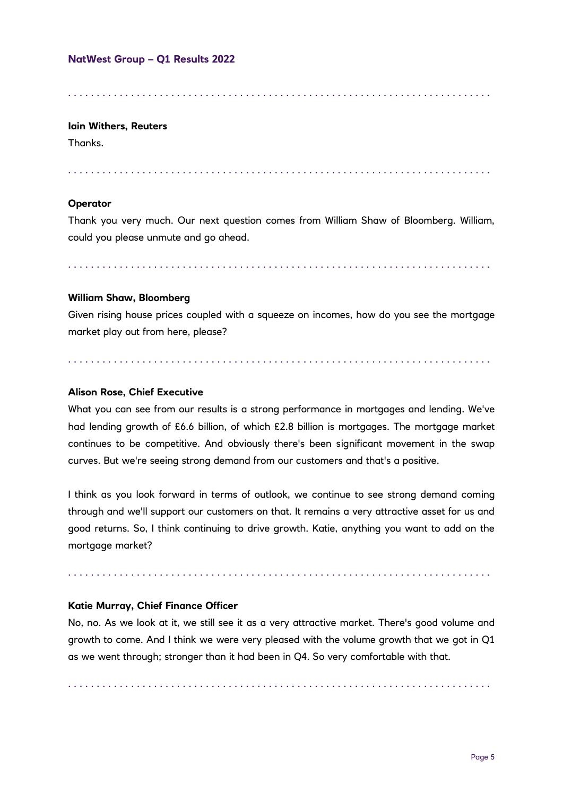. . . . . . . . . . . . . . . . . . . . . . . . . . . . . . . . . . . . . . . . . . . . . . . . . . . . . . . . . . . . . . . . . . . . . . . . . .

## **Iain Withers, Reuters**

Thanks.

. . . . . . . . . . . . . . . . . . . . . . . . . . . . . . . . . . . . . . . . . . . . . . . . . . . . . . . . . . . . . . . . . . . . . . . . . .

## **Operator**

Thank you very much. Our next question comes from William Shaw of Bloomberg. William, could you please unmute and go ahead.

. . . . . . . . . . . . . . . . . . . . . . . . . . . . . . . . . . . . . . . . . . . . . . . . . . . . . . . . . . . . . . . . . . . . . . . . . .

## **William Shaw, Bloomberg**

Given rising house prices coupled with a squeeze on incomes, how do you see the mortgage market play out from here, please?

. . . . . . . . . . . . . . . . . . . . . . . . . . . . . . . . . . . . . . . . . . . . . . . . . . . . . . . . . . . . . . . . . . . . . . . . . .

## **Alison Rose, Chief Executive**

What you can see from our results is a strong performance in mortgages and lending. We've had lending growth of £6.6 billion, of which £2.8 billion is mortgages. The mortgage market continues to be competitive. And obviously there's been significant movement in the swap curves. But we're seeing strong demand from our customers and that's a positive.

I think as you look forward in terms of outlook, we continue to see strong demand coming through and we'll support our customers on that. It remains a very attractive asset for us and good returns. So, I think continuing to drive growth. Katie, anything you want to add on the mortgage market?

. . . . . . . . . . . . . . . . . . . . . . . . . . . . . . . . . . . . . . . . . . . . . . . . . . . . . . . . . . . . . . . . . . . . . . . . . .

## **Katie Murray, Chief Finance Officer**

No, no. As we look at it, we still see it as a very attractive market. There's good volume and growth to come. And I think we were very pleased with the volume growth that we got in Q1 as we went through; stronger than it had been in Q4. So very comfortable with that.

. . . . . . . . . . . . . . . . . . . . . . . . . . . . . . . . . . . . . . . . . . . . . . . . . . . . . . . . . . . . . . . . . . . . . . . . . .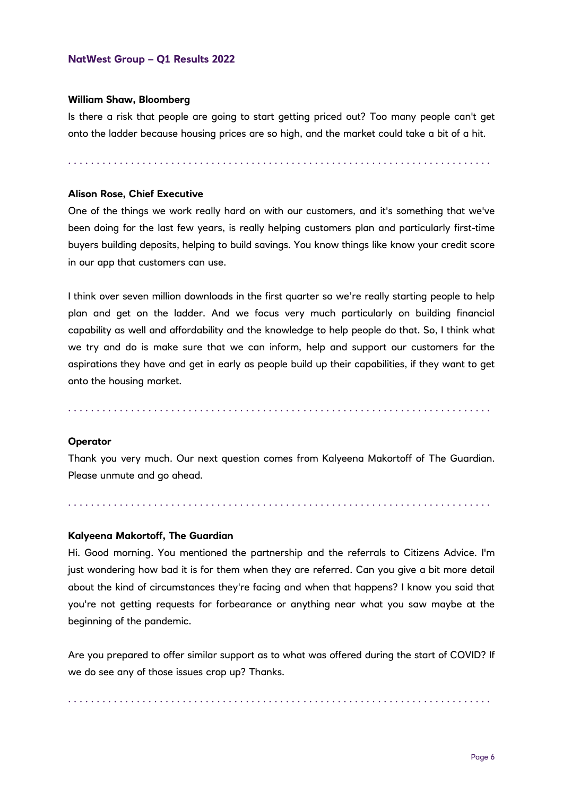#### **William Shaw, Bloomberg**

Is there a risk that people are going to start getting priced out? Too many people can't get onto the ladder because housing prices are so high, and the market could take a bit of a hit.

. . . . . . . . . . . . . . . . . . . . . . . . . . . . . . . . . . . . . . . . . . . . . . . . . . . . . . . . . . . . . . . . . . . . . . . . . .

## **Alison Rose, Chief Executive**

One of the things we work really hard on with our customers, and it's something that we've been doing for the last few years, is really helping customers plan and particularly first-time buyers building deposits, helping to build savings. You know things like know your credit score in our app that customers can use.

I think over seven million downloads in the first quarter so we're really starting people to help plan and get on the ladder. And we focus very much particularly on building financial capability as well and affordability and the knowledge to help people do that. So, I think what we try and do is make sure that we can inform, help and support our customers for the aspirations they have and get in early as people build up their capabilities, if they want to get onto the housing market.

. . . . . . . . . . . . . . . . . . . . . . . . . . . . . . . . . . . . . . . . . . . . . . . . . . . . . . . . . . . . . . . . . . . . . . . . . .

#### **Operator**

Thank you very much. Our next question comes from Kalyeena Makortoff of The Guardian. Please unmute and go ahead.

. . . . . . . . . . . . . . . . . . . . . . . . . . . . . . . . . . . . . . . . . . . . . . . . . . . . . . . . . . . . . . . . . . . . . . . . . .

## **Kalyeena Makortoff, The Guardian**

Hi. Good morning. You mentioned the partnership and the referrals to Citizens Advice. I'm just wondering how bad it is for them when they are referred. Can you give a bit more detail about the kind of circumstances they're facing and when that happens? I know you said that you're not getting requests for forbearance or anything near what you saw maybe at the beginning of the pandemic.

Are you prepared to offer similar support as to what was offered during the start of COVID? If we do see any of those issues crop up? Thanks.

. . . . . . . . . . . . . . . . . . . . . . . . . . . . . . . . . . . . . . . . . . . . . . . . . . . . . . . . . . . . . . . . . . . . . . . . . .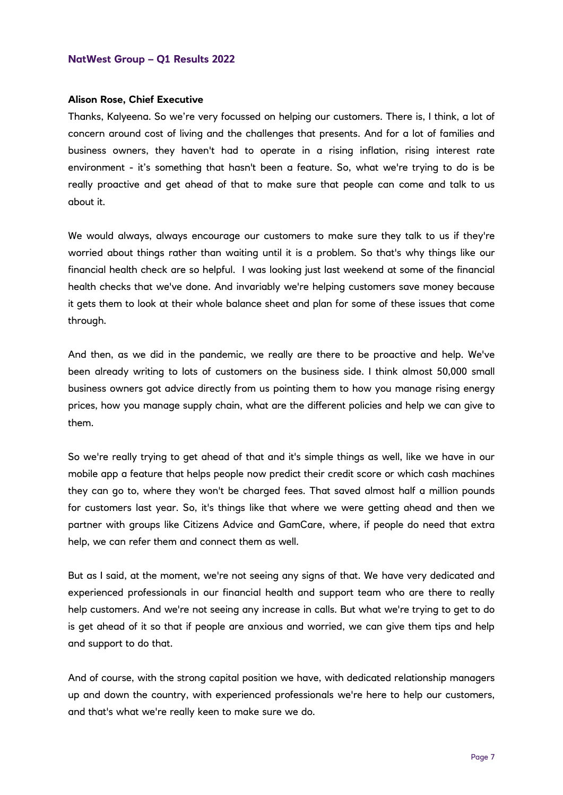#### **Alison Rose, Chief Executive**

Thanks, Kalyeena. So we're very focussed on helping our customers. There is, I think, a lot of concern around cost of living and the challenges that presents. And for a lot of families and business owners, they haven't had to operate in a rising inflation, rising interest rate environment - it's something that hasn't been a feature. So, what we're trying to do is be really proactive and get ahead of that to make sure that people can come and talk to us about it.

We would always, always encourage our customers to make sure they talk to us if they're worried about things rather than waiting until it is a problem. So that's why things like our financial health check are so helpful. I was looking just last weekend at some of the financial health checks that we've done. And invariably we're helping customers save money because it gets them to look at their whole balance sheet and plan for some of these issues that come through.

And then, as we did in the pandemic, we really are there to be proactive and help. We've been already writing to lots of customers on the business side. I think almost 50,000 small business owners got advice directly from us pointing them to how you manage rising energy prices, how you manage supply chain, what are the different policies and help we can give to them.

So we're really trying to get ahead of that and it's simple things as well, like we have in our mobile app a feature that helps people now predict their credit score or which cash machines they can go to, where they won't be charged fees. That saved almost half a million pounds for customers last year. So, it's things like that where we were getting ahead and then we partner with groups like Citizens Advice and GamCare, where, if people do need that extra help, we can refer them and connect them as well.

But as I said, at the moment, we're not seeing any signs of that. We have very dedicated and experienced professionals in our financial health and support team who are there to really help customers. And we're not seeing any increase in calls. But what we're trying to get to do is get ahead of it so that if people are anxious and worried, we can give them tips and help and support to do that.

And of course, with the strong capital position we have, with dedicated relationship managers up and down the country, with experienced professionals we're here to help our customers, and that's what we're really keen to make sure we do.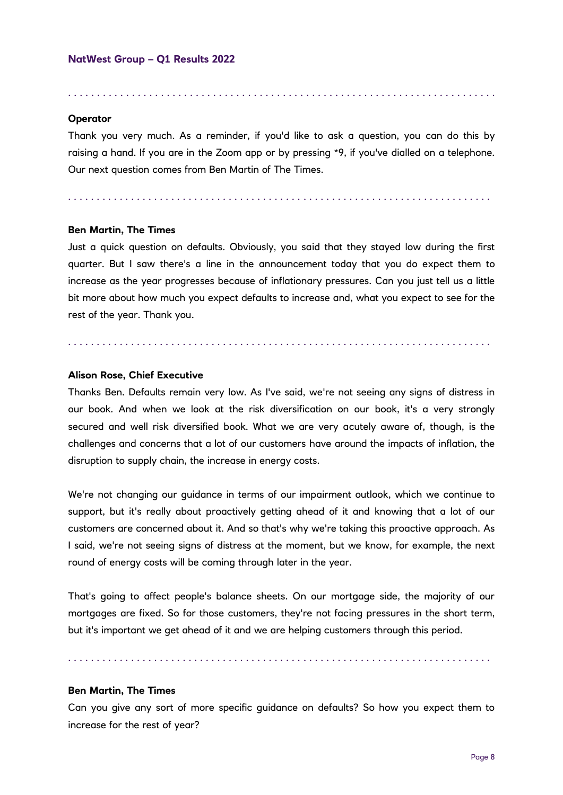#### **Operator**

Thank you very much. As a reminder, if you'd like to ask a question, you can do this by raising a hand. If you are in the Zoom app or by pressing \*9, if you've dialled on a telephone. Our next question comes from Ben Martin of The Times.

. . . . . . . . . . . . . . . . . . . . . . . . . . . . . . . . . . . . . . . . . . . . . . . . . . . . . . . . . . . . . . . . . . . . . . . . . .

. . . . . . . . . . . . . . . . . . . . . . . . . . . . . . . . . . . . . . . . . . . . . . . . . . . . . . . . . . . . . . . . . . . . . . . . . .

#### **Ben Martin, The Times**

Just a quick question on defaults. Obviously, you said that they stayed low during the first quarter. But I saw there's a line in the announcement today that you do expect them to increase as the year progresses because of inflationary pressures. Can you just tell us a little bit more about how much you expect defaults to increase and, what you expect to see for the rest of the year. Thank you.

. . . . . . . . . . . . . . . . . . . . . . . . . . . . . . . . . . . . . . . . . . . . . . . . . . . . . . . . . . . . . . . . . . . . . . . . . .

#### **Alison Rose, Chief Executive**

Thanks Ben. Defaults remain very low. As I've said, we're not seeing any signs of distress in our book. And when we look at the risk diversification on our book, it's a very strongly secured and well risk diversified book. What we are very acutely aware of, though, is the challenges and concerns that a lot of our customers have around the impacts of inflation, the disruption to supply chain, the increase in energy costs.

We're not changing our guidance in terms of our impairment outlook, which we continue to support, but it's really about proactively getting ahead of it and knowing that a lot of our customers are concerned about it. And so that's why we're taking this proactive approach. As I said, we're not seeing signs of distress at the moment, but we know, for example, the next round of energy costs will be coming through later in the year.

That's going to affect people's balance sheets. On our mortgage side, the majority of our mortgages are fixed. So for those customers, they're not facing pressures in the short term, but it's important we get ahead of it and we are helping customers through this period.

. . . . . . . . . . . . . . . . . . . . . . . . . . . . . . . . . . . . . . . . . . . . . . . . . . . . . . . . . . . . . . . . . . . . . . . . . .

#### **Ben Martin, The Times**

Can you give any sort of more specific guidance on defaults? So how you expect them to increase for the rest of year?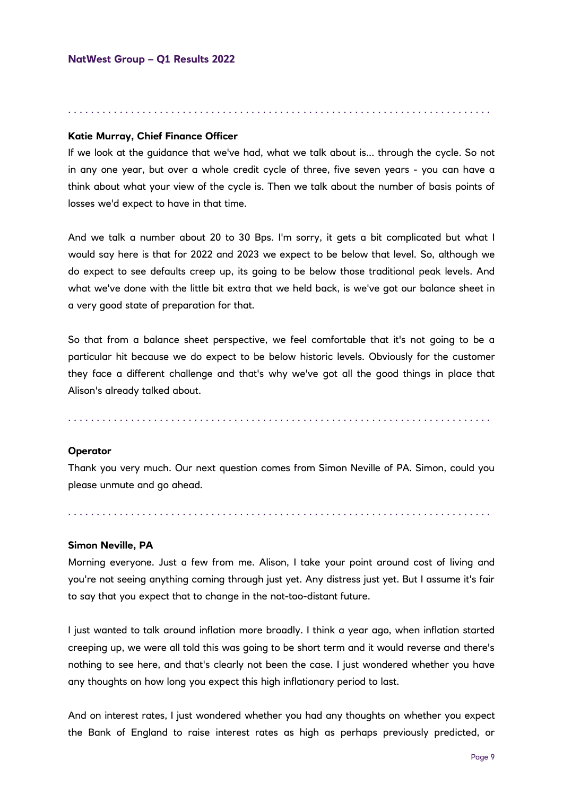#### . . . . . . . . . . . . . . . . . . . . . . . . . . . . . . . . . . . . . . . . . . . . . . . . . . . . . . . . . . . . . . . . . . . . . . . . . .

## **Katie Murray, Chief Finance Officer**

If we look at the guidance that we've had, what we talk about is... through the cycle. So not in any one year, but over a whole credit cycle of three, five seven years - you can have a think about what your view of the cycle is. Then we talk about the number of basis points of losses we'd expect to have in that time.

And we talk a number about 20 to 30 Bps. I'm sorry, it gets a bit complicated but what I would say here is that for 2022 and 2023 we expect to be below that level. So, although we do expect to see defaults creep up, its going to be below those traditional peak levels. And what we've done with the little bit extra that we held back, is we've got our balance sheet in a very good state of preparation for that.

So that from a balance sheet perspective, we feel comfortable that it's not going to be a particular hit because we do expect to be below historic levels. Obviously for the customer they face a different challenge and that's why we've got all the good things in place that Alison's already talked about.

. . . . . . . . . . . . . . . . . . . . . . . . . . . . . . . . . . . . . . . . . . . . . . . . . . . . . . . . . . . . . . . . . . . . . . . . . .

#### **Operator**

Thank you very much. Our next question comes from Simon Neville of PA. Simon, could you please unmute and go ahead.

. . . . . . . . . . . . . . . . . . . . . . . . . . . . . . . . . . . . . . . . . . . . . . . . . . . . . . . . . . . . . . . . . . . . . . . . . .

#### **Simon Neville, PA**

Morning everyone. Just a few from me. Alison, I take your point around cost of living and you're not seeing anything coming through just yet. Any distress just yet. But I assume it's fair to say that you expect that to change in the not-too-distant future.

I just wanted to talk around inflation more broadly. I think a year ago, when inflation started creeping up, we were all told this was going to be short term and it would reverse and there's nothing to see here, and that's clearly not been the case. I just wondered whether you have any thoughts on how long you expect this high inflationary period to last.

And on interest rates, I just wondered whether you had any thoughts on whether you expect the Bank of England to raise interest rates as high as perhaps previously predicted, or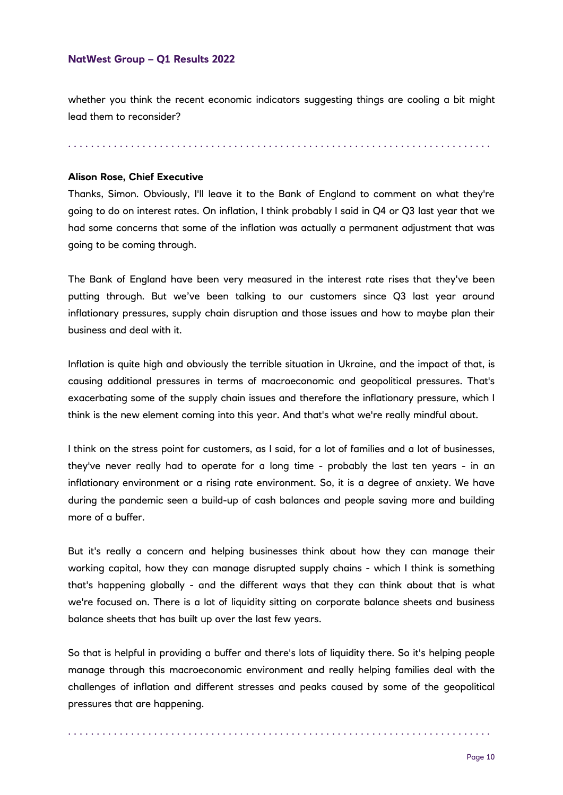whether you think the recent economic indicators suggesting things are cooling a bit might lead them to reconsider?

. . . . . . . . . . . . . . . . . . . . . . . . . . . . . . . . . . . . . . . . . . . . . . . . . . . . . . . . . . . . . . . . . . . . . . . . . .

## **Alison Rose, Chief Executive**

Thanks, Simon. Obviously, I'll leave it to the Bank of England to comment on what they're going to do on interest rates. On inflation, I think probably I said in Q4 or Q3 last year that we had some concerns that some of the inflation was actually a permanent adjustment that was going to be coming through.

The Bank of England have been very measured in the interest rate rises that they've been putting through. But we've been talking to our customers since Q3 last year around inflationary pressures, supply chain disruption and those issues and how to maybe plan their business and deal with it.

Inflation is quite high and obviously the terrible situation in Ukraine, and the impact of that, is causing additional pressures in terms of macroeconomic and geopolitical pressures. That's exacerbating some of the supply chain issues and therefore the inflationary pressure, which I think is the new element coming into this year. And that's what we're really mindful about.

I think on the stress point for customers, as I said, for a lot of families and a lot of businesses, they've never really had to operate for a long time - probably the last ten years - in an inflationary environment or a rising rate environment. So, it is a degree of anxiety. We have during the pandemic seen a build-up of cash balances and people saving more and building more of a buffer.

But it's really a concern and helping businesses think about how they can manage their working capital, how they can manage disrupted supply chains - which I think is something that's happening globally - and the different ways that they can think about that is what we're focused on. There is a lot of liquidity sitting on corporate balance sheets and business balance sheets that has built up over the last few years.

So that is helpful in providing a buffer and there's lots of liquidity there. So it's helping people manage through this macroeconomic environment and really helping families deal with the challenges of inflation and different stresses and peaks caused by some of the geopolitical pressures that are happening.

. . . . . . . . . . . . . . . . . . . . . . . . . . . . . . . . . . . . . . . . . . . . . . . . . . . . . . . . . . . . . . . . . . . . . . . . . .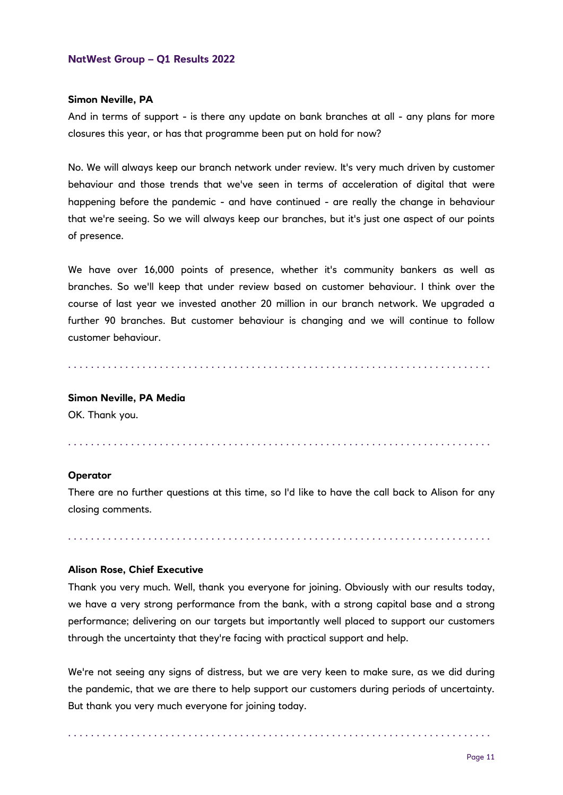#### **Simon Neville, PA**

And in terms of support - is there any update on bank branches at all - any plans for more closures this year, or has that programme been put on hold for now?

No. We will always keep our branch network under review. It's very much driven by customer behaviour and those trends that we've seen in terms of acceleration of digital that were happening before the pandemic - and have continued - are really the change in behaviour that we're seeing. So we will always keep our branches, but it's just one aspect of our points of presence.

We have over 16,000 points of presence, whether it's community bankers as well as branches. So we'll keep that under review based on customer behaviour. I think over the course of last year we invested another 20 million in our branch network. We upgraded a further 90 branches. But customer behaviour is changing and we will continue to follow customer behaviour.

. . . . . . . . . . . . . . . . . . . . . . . . . . . . . . . . . . . . . . . . . . . . . . . . . . . . . . . . . . . . . . . . . . . . . . . . . .

## **Simon Neville, PA Media**

OK. Thank you.

. . . . . . . . . . . . . . . . . . . . . . . . . . . . . . . . . . . . . . . . . . . . . . . . . . . . . . . . . . . . . . . . . . . . . . . . . .

#### **Operator**

There are no further questions at this time, so I'd like to have the call back to Alison for any closing comments.

. . . . . . . . . . . . . . . . . . . . . . . . . . . . . . . . . . . . . . . . . . . . . . . . . . . . . . . . . . . . . . . . . . . . . . . . . .

#### **Alison Rose, Chief Executive**

Thank you very much. Well, thank you everyone for joining. Obviously with our results today, we have a very strong performance from the bank, with a strong capital base and a strong performance; delivering on our targets but importantly well placed to support our customers through the uncertainty that they're facing with practical support and help.

We're not seeing any signs of distress, but we are very keen to make sure, as we did during the pandemic, that we are there to help support our customers during periods of uncertainty. But thank you very much everyone for joining today.

. . . . . . . . . . . . . . . . . . . . . . . . . . . . . . . . . . . . . . . . . . . . . . . . . . . . . . . . . . . . . . . . . . . . . . . . . .

Page 11